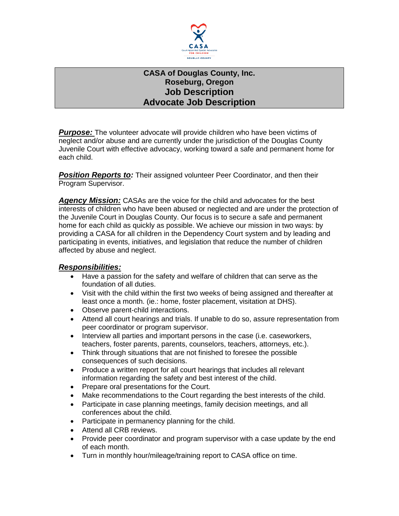

# **CASA of Douglas County, Inc. Roseburg, Oregon Job Description Advocate Job Description**

**Purpose:** The volunteer advocate will provide children who have been victims of neglect and/or abuse and are currently under the jurisdiction of the Douglas County Juvenile Court with effective advocacy, working toward a safe and permanent home for each child.

**Position Reports to:** Their assigned volunteer Peer Coordinator, and then their Program Supervisor.

*Agency Mission:* CASAs are the voice for the child and advocates for the best interests of children who have been abused or neglected and are under the protection of the Juvenile Court in Douglas County. Our focus is to secure a safe and permanent home for each child as quickly as possible. We achieve our mission in two ways: by providing a CASA for all children in the Dependency Court system and by leading and participating in events, initiatives, and legislation that reduce the number of children affected by abuse and neglect.

#### *Responsibilities:*

- Have a passion for the safety and welfare of children that can serve as the foundation of all duties.
- Visit with the child within the first two weeks of being assigned and thereafter at least once a month. (ie.: home, foster placement, visitation at DHS).
- Observe parent-child interactions.
- Attend all court hearings and trials. If unable to do so, assure representation from peer coordinator or program supervisor.
- Interview all parties and important persons in the case (i.e. caseworkers, teachers, foster parents, parents, counselors, teachers, attorneys, etc.).
- Think through situations that are not finished to foresee the possible consequences of such decisions.
- Produce a written report for all court hearings that includes all relevant information regarding the safety and best interest of the child.
- Prepare oral presentations for the Court.
- Make recommendations to the Court regarding the best interests of the child.
- Participate in case planning meetings, family decision meetings, and all conferences about the child.
- Participate in permanency planning for the child.
- Attend all CRB reviews.
- Provide peer coordinator and program supervisor with a case update by the end of each month.
- Turn in monthly hour/mileage/training report to CASA office on time.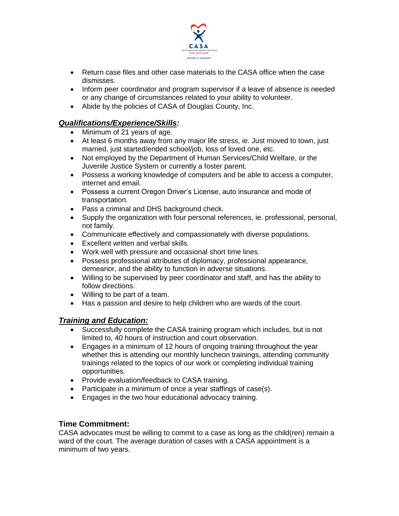

- Return case files and other case materials to the CASA office when the case dismisses.
- Inform peer coordinator and program supervisor if a leave of absence is needed or any change of circumstances related to your ability to volunteer.
- Abide by the policies of CASA of Douglas County, Inc.

## *Qualifications/Experience/Skills:*

- Minimum of 21 years of age.
- At least 6 months away from any major life stress, ie. Just moved to town, just married, just started/ended school/job, loss of loved one, etc.
- Not employed by the Department of Human Services/Child Welfare, or the Juvenile Justice System or currently a foster parent.
- Possess a working knowledge of computers and be able to access a computer, internet and email.
- Possess a current Oregon Driver's License, auto insurance and mode of transportation.
- Pass a criminal and DHS background check.
- Supply the organization with four personal references, ie. professional, personal, not family.
- Communicate effectively and compassionately with diverse populations.
- Excellent written and verbal skills.
- Work well with pressure and occasional short time lines.
- Possess professional attributes of diplomacy, professional appearance, demeanor, and the ability to function in adverse situations.
- Willing to be supervised by peer coordinator and staff, and has the ability to follow directions.
- Willing to be part of a team.
- Has a passion and desire to help children who are wards of the court.

#### *Training and Education:*

- Successfully complete the CASA training program which includes, but is not limited to, 40 hours of instruction and court observation.
- Engages in a minimum of 12 hours of ongoing training throughout the year whether this is attending our monthly luncheon trainings, attending community trainings related to the topics of our work or completing individual training opportunities.
- Provide evaluation/feedback to CASA training.
- Participate in a minimum of once a year staffings of case(s).
- Engages in the two hour educational advocacy training.

#### **Time Commitment:**

CASA advocates must be willing to commit to a case as long as the child(ren) remain a ward of the court. The average duration of cases with a CASA appointment is a minimum of two years.